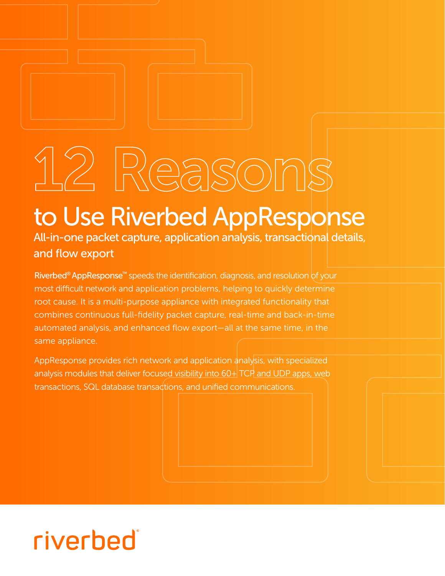## 12 Reasons

## to Use Riverbed AppResponse

All-in-one packet capture, application analysis, transactional details, and flow export

[Riverbed® AppResponse™](https://www.riverbed.com/products/npm/appresponse-11.html) speeds the identification, diagnosis, and resolution of your most difficult network and application problems, helping to quickly determine root cause. It is a multi-purpose appliance with integrated functionality that combines continuous full-fidelity packet capture, real-time and back-in-time automated analysis, and enhanced flow export—all at the same time, in the same appliance.

AppResponse provides rich network and application analysis, with specialized analysis modules that deliver focused visibility into 60+ TCP and UDP apps, web transactions, SQL database transactions, and unified communications.

## riverbed®